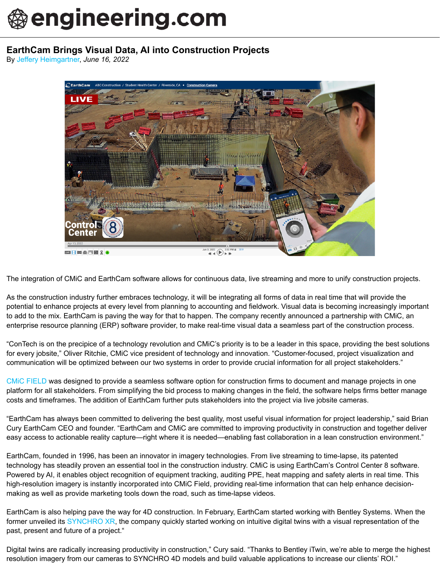## **Dengineering.com**

## **EarthCam Brings Visual Data, AI into Construction Projects**

By [Jeffery Heimgartner,](https://www.engineering.com/profile/Heimosophy) *June 16, 2022*



The integration of CMiC and EarthCam software allows for continuous data, live streaming and more to unify construction projects.

As the construction industry further embraces technology, it will be integrating all forms of data in real time that will provide the potential to enhance projects at every level from planning to accounting and fieldwork. Visual data is becoming increasingly important to add to the mix. EarthCam is paving the way for that to happen. The company recently announced a partnership with CMiC, an enterprise resource planning (ERP) software provider, to make real-time visual data a seamless part of the construction process.

"ConTech is on the precipice of a technology revolution and CMiC's priority is to be a leader in this space, providing the best solutions for every jobsite," Oliver Ritchie, CMiC vice president of technology and innovation. "Customer-focused, project visualization and communication will be optimized between our two systems in order to provide crucial information for all project stakeholders."

[CMiC FIELD](https://cmicglobal.com/wp-content/uploads/2020/09/CMiC_FIELD_Solution_Brief.pdf) was designed to provide a seamless software option for construction firms to document and manage projects in one platform for all stakeholders. From simplifying the bid process to making changes in the field, the software helps firms better manage costs and timeframes. The addition of EarthCam further puts stakeholders into the project via live jobsite cameras.

"EarthCam has always been committed to delivering the best quality, most useful visual information for project leadership," said Brian Cury EarthCam CEO and founder. "EarthCam and CMiC are committed to improving productivity in construction and together deliver easy access to actionable reality capture—right where it is needed—enabling fast collaboration in a lean construction environment."

EarthCam, founded in 1996, has been an innovator in imagery technologies. From live streaming to time-lapse, its patented technology has steadily proven an essential tool in the construction industry. CMiC is using EarthCam's Control Center 8 software. Powered by AI, it enables object recognition of equipment tracking, auditing PPE, heat mapping and safety alerts in real time. This high-resolution imagery is instantly incorporated into CMiC Field, providing real-time information that can help enhance decisionmaking as well as provide marketing tools down the road, such as time-lapse videos.

EarthCam is also helping pave the way for 4D construction. In February, EarthCam started working with Bentley Systems. When the former unveiled its [SYNCHRO XR](https://www.engineering.com/story/bentley-takes-4d-to-construction-sites-with-synchro-xr), the company quickly started working on intuitive digital twins with a visual representation of the past, present and future of a project."

Digital twins are radically increasing productivity in construction," Cury said. "Thanks to Bentley iTwin, we're able to merge the highest resolution imagery from our cameras to SYNCHRO 4D models and build valuable applications to increase our clients' ROI."